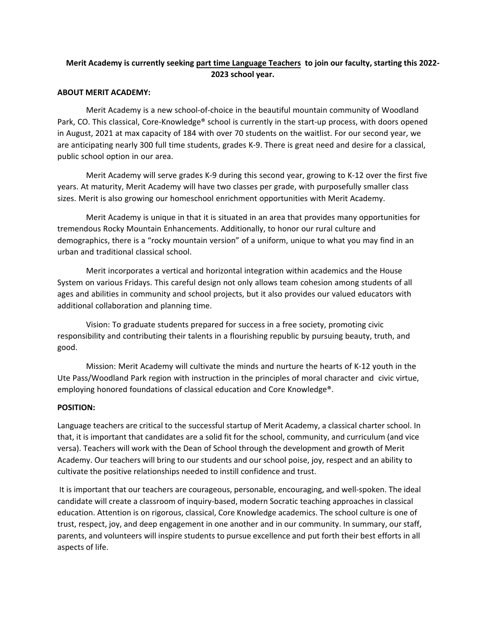# **Merit Academy is currently seeking part time Language Teachers to join our faculty, starting this 2022- 2023 school year.**

### **ABOUT MERIT ACADEMY:**

Merit Academy is a new school-of-choice in the beautiful mountain community of Woodland Park, CO. This classical, Core-Knowledge® school is currently in the start-up process, with doors opened in August, 2021 at max capacity of 184 with over 70 students on the waitlist. For our second year, we are anticipating nearly 300 full time students, grades K-9. There is great need and desire for a classical, public school option in our area.

Merit Academy will serve grades K-9 during this second year, growing to K-12 over the first five years. At maturity, Merit Academy will have two classes per grade, with purposefully smaller class sizes. Merit is also growing our homeschool enrichment opportunities with Merit Academy.

Merit Academy is unique in that it is situated in an area that provides many opportunities for tremendous Rocky Mountain Enhancements. Additionally, to honor our rural culture and demographics, there is a "rocky mountain version" of a uniform, unique to what you may find in an urban and traditional classical school.

Merit incorporates a vertical and horizontal integration within academics and the House System on various Fridays. This careful design not only allows team cohesion among students of all ages and abilities in community and school projects, but it also provides our valued educators with additional collaboration and planning time.

Vision: To graduate students prepared for success in a free society, promoting civic responsibility and contributing their talents in a flourishing republic by pursuing beauty, truth, and good.

Mission: Merit Academy will cultivate the minds and nurture the hearts of K-12 youth in the Ute Pass/Woodland Park region with instruction in the principles of moral character and civic virtue, employing honored foundations of classical education and Core Knowledge®.

### **POSITION:**

Language teachers are critical to the successful startup of Merit Academy, a classical charter school. In that, it is important that candidates are a solid fit for the school, community, and curriculum (and vice versa). Teachers will work with the Dean of School through the development and growth of Merit Academy. Our teachers will bring to our students and our school poise, joy, respect and an ability to cultivate the positive relationships needed to instill confidence and trust.

It is important that our teachers are courageous, personable, encouraging, and well-spoken. The ideal candidate will create a classroom of inquiry-based, modern Socratic teaching approaches in classical education. Attention is on rigorous, classical, Core Knowledge academics. The school culture is one of trust, respect, joy, and deep engagement in one another and in our community. In summary, our staff, parents, and volunteers will inspire students to pursue excellence and put forth their best efforts in all aspects of life.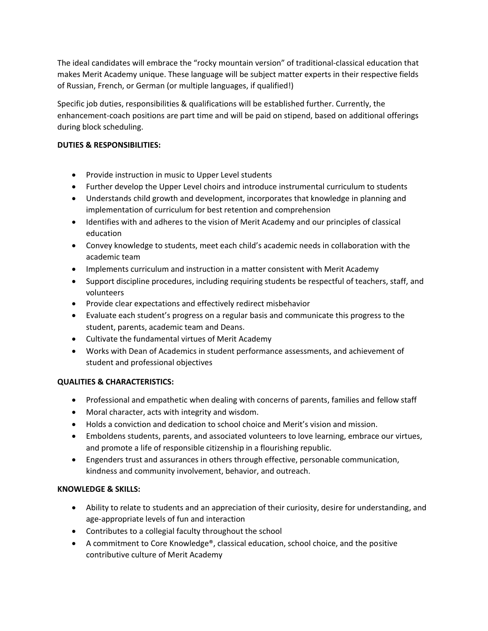The ideal candidates will embrace the "rocky mountain version" of traditional-classical education that makes Merit Academy unique. These language will be subject matter experts in their respective fields of Russian, French, or German (or multiple languages, if qualified!)

Specific job duties, responsibilities & qualifications will be established further. Currently, the enhancement-coach positions are part time and will be paid on stipend, based on additional offerings during block scheduling.

# **DUTIES & RESPONSIBILITIES:**

- Provide instruction in music to Upper Level students
- Further develop the Upper Level choirs and introduce instrumental curriculum to students
- Understands child growth and development, incorporates that knowledge in planning and implementation of curriculum for best retention and comprehension
- Identifies with and adheres to the vision of Merit Academy and our principles of classical education
- Convey knowledge to students, meet each child's academic needs in collaboration with the academic team
- Implements curriculum and instruction in a matter consistent with Merit Academy
- Support discipline procedures, including requiring students be respectful of teachers, staff, and volunteers
- Provide clear expectations and effectively redirect misbehavior
- Evaluate each student's progress on a regular basis and communicate this progress to the student, parents, academic team and Deans.
- Cultivate the fundamental virtues of Merit Academy
- Works with Dean of Academics in student performance assessments, and achievement of student and professional objectives

# **QUALITIES & CHARACTERISTICS:**

- Professional and empathetic when dealing with concerns of parents, families and fellow staff
- Moral character, acts with integrity and wisdom.
- Holds a conviction and dedication to school choice and Merit's vision and mission.
- Emboldens students, parents, and associated volunteers to love learning, embrace our virtues, and promote a life of responsible citizenship in a flourishing republic.
- Engenders trust and assurances in others through effective, personable communication, kindness and community involvement, behavior, and outreach.

### **KNOWLEDGE & SKILLS:**

- Ability to relate to students and an appreciation of their curiosity, desire for understanding, and age-appropriate levels of fun and interaction
- Contributes to a collegial faculty throughout the school
- A commitment to Core Knowledge®, classical education, school choice, and the positive contributive culture of Merit Academy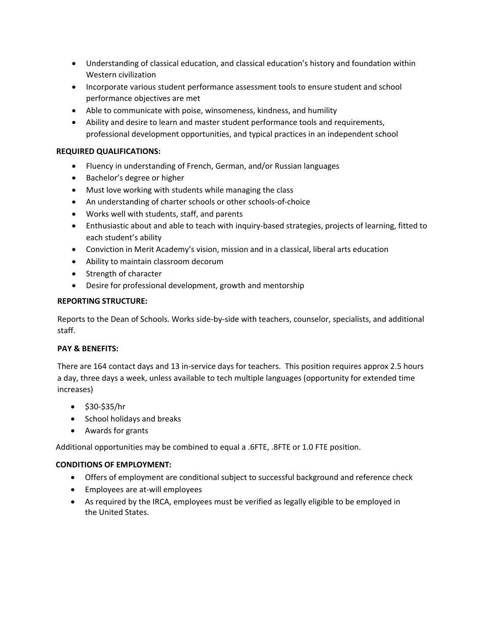- Understanding of classical education, and classical education's history and foundation within Western civilization
- Incorporate various student performance assessment tools to ensure student and school performance objectives are met
- Able to communicate with poise, winsomeness, kindness, and humility
- Ability and desire to learn and master student performance tools and requirements, professional development opportunities, and typical practices in an independent school

## **REQUIRED QUALIFICATIONS:**

- Fluency in understanding of French, German, and/or Russian languages
- Bachelor's degree or higher
- Must love working with students while managing the class
- An understanding of charter schools or other schools-of-choice
- Works well with students, staff, and parents
- Enthusiastic about and able to teach with inquiry-based strategies, projects of learning, fitted to each student's ability
- Conviction in Merit Academy's vision, mission and in a classical, liberal arts education
- Ability to maintain classroom decorum
- Strength of character
- Desire for professional development, growth and mentorship

### **REPORTING STRUCTURE:**

Reports to the Dean of Schools. Works side-by-side with teachers, counselor, specialists, and additional staff.

### **PAY & BENEFITS:**

There are 164 contact days and 13 in-service days for teachers. This position requires approx 2.5 hours a day, three days a week, unless available to tech multiple languages (opportunity for extended time increases)

- \$30-\$35/hr
- School holidays and breaks
- Awards for grants

Additional opportunities may be combined to equal a .6FTE, .8FTE or 1.0 FTE position.

### **CONDITIONS OF EMPLOYMENT:**

- Offers of employment are conditional subject to successful background and reference check
- Employees are at-will employees
- As required by the IRCA, employees must be verified as legally eligible to be employed in the United States.